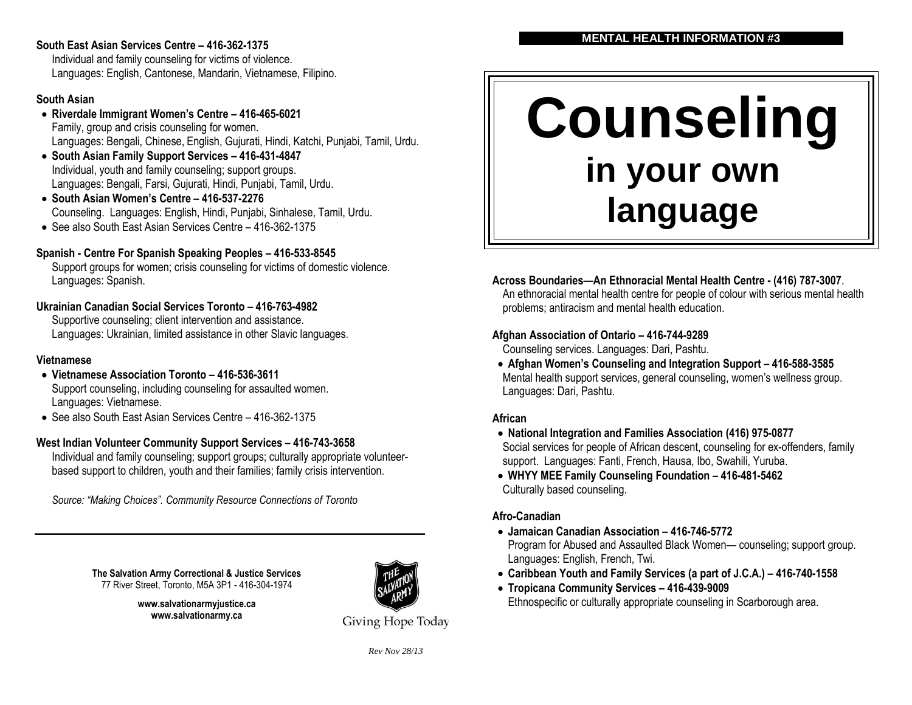#### **South East Asian Services Centre – 416-362-1375**

Individual and family counseling for victims of violence. Languages: English, Cantonese, Mandarin, Vietnamese, Filipino.

#### **South Asian**

- **Riverdale Immigrant Women's Centre – 416-465-6021** Family, group and crisis counseling for women. Languages: Bengali, Chinese, English, Gujurati, Hindi, Katchi, Punjabi, Tamil, Urdu.
- **South Asian Family Support Services – 416-431-4847** Individual, youth and family counseling; support groups. Languages: Bengali, Farsi, Gujurati, Hindi, Punjabi, Tamil, Urdu.
- **South Asian Women's Centre – 416-537-2276** Counseling. Languages: English, Hindi, Punjabi, Sinhalese, Tamil, Urdu.
- See also South East Asian Services Centre 416-362-1375

### **Spanish - Centre For Spanish Speaking Peoples – 416-533-8545**

Support groups for women; crisis counseling for victims of domestic violence. Languages: Spanish.

#### **Ukrainian Canadian Social Services Toronto – 416-763-4982**

Supportive counseling; client intervention and assistance. Languages: Ukrainian, limited assistance in other Slavic languages.

#### **Vietnamese**

- **Vietnamese Association Toronto – 416-536-3611** Support counseling, including counseling for assaulted women. Languages: Vietnamese.
- See also South East Asian Services Centre 416-362-1375

#### **West Indian Volunteer Community Support Services – 416-743-3658**

Individual and family counseling; support groups; culturally appropriate volunteerbased support to children, youth and their families; family crisis intervention.

*Source: "Making Choices". Community Resource Connections of Toronto* 

**The Salvation Army Correctional & Justice Services** 77 River Street, Toronto, M5A 3P1 - 416-304-1974

> **www.salvationarmyjustice.ca www.salvationarmy.ca**



Giving Hope Today

#### **MENTAL HEALTH INFORMATION #3**

# **Counseling in your own language**

#### **Across Boundaries—An Ethnoracial Mental Health Centre - (416) 787-3007**.

An ethnoracial mental health centre for people of colour with serious mental health problems; antiracism and mental health education.

#### **Afghan Association of Ontario – 416-744-9289**

Counseling services. Languages: Dari, Pashtu.

 **Afghan Women's Counseling and Integration Support – 416-588-3585** Mental health support services, general counseling, women's wellness group. Languages: Dari, Pashtu.

#### **African**

- **National Integration and Families Association (416) 975-0877** Social services for people of African descent, counseling for ex-offenders, family support. Languages: Fanti, French, Hausa, Ibo, Swahili, Yuruba.
- **WHYY MEE Family Counseling Foundation – 416-481-5462** Culturally based counseling.

#### **Afro-Canadian**

- **Jamaican Canadian Association – 416-746-5772** Program for Abused and Assaulted Black Women— counseling; support group. Languages: English, French, Twi.
- **Caribbean Youth and Family Services (a part of J.C.A.) – 416-740-1558**
- **Tropicana Community Services – 416-439-9009** Ethnospecific or culturally appropriate counseling in Scarborough area.